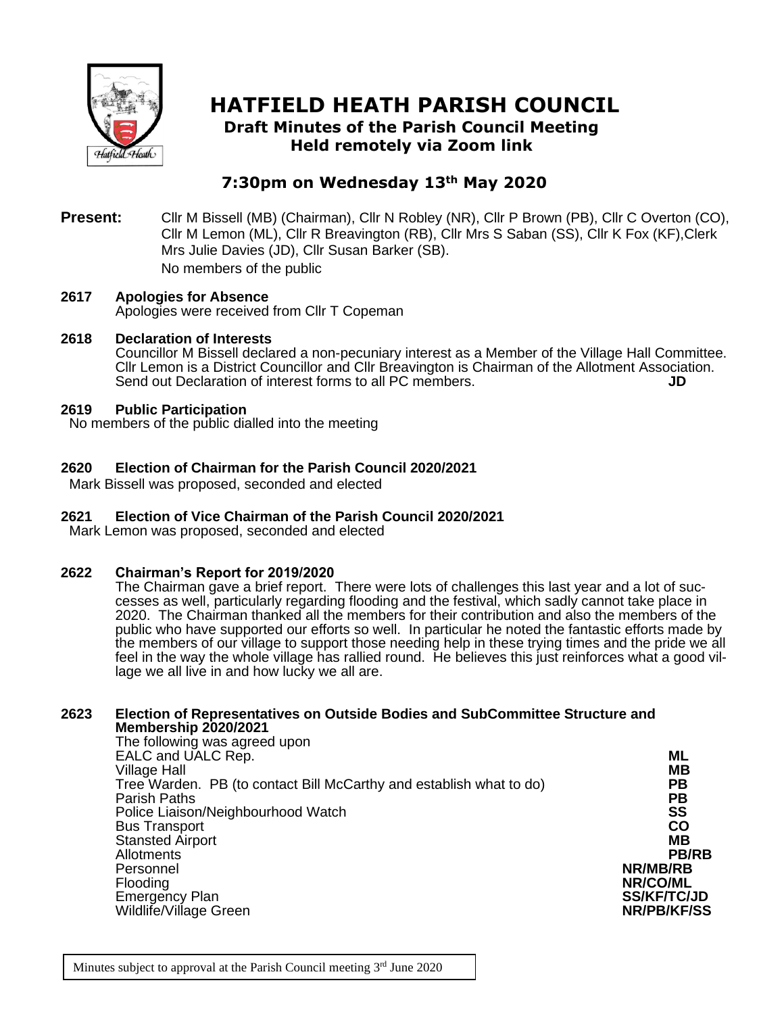

# **HATFIELD HEATH PARISH COUNCIL Draft Minutes of the Parish Council Meeting**

**Held remotely via Zoom link**

# **7:30pm on Wednesday 13th May 2020**

**Present:** Cllr M Bissell (MB) (Chairman), Cllr N Robley (NR), Cllr P Brown (PB), Cllr C Overton (CO), Cllr M Lemon (ML), Cllr R Breavington (RB), Cllr Mrs S Saban (SS), Cllr K Fox (KF),Clerk Mrs Julie Davies (JD), Cllr Susan Barker (SB). No members of the public

#### **2617 Apologies for Absence** Apologies were received from Cllr T Copeman

# **2618 Declaration of Interests**

Councillor M Bissell declared a non-pecuniary interest as a Member of the Village Hall Committee. Cllr Lemon is a District Councillor and Cllr Breavington is Chairman of the Allotment Association. Send out Declaration of interest forms to all PC members. **JD**

#### **2619 Public Participation**

No members of the public dialled into the meeting

# **2620 Election of Chairman for the Parish Council 2020/2021**

Mark Bissell was proposed, seconded and elected

# **2621 Election of Vice Chairman of the Parish Council 2020/2021**

Mark Lemon was proposed, seconded and elected

# **2622 Chairman's Report for 2019/2020**

The Chairman gave a brief report. There were lots of challenges this last year and a lot of successes as well, particularly regarding flooding and the festival, which sadly cannot take place in 2020. The Chairman thanked all the members for their contribution and also the members of the public who have supported our efforts so well. In particular he noted the fantastic efforts made by the members of our village to support those needing help in these trying times and the pride we all feel in the way the whole village has rallied round. He believes this just reinforces what a good village we all live in and how lucky we all are.

# **2623 Election of Representatives on Outside Bodies and SubCommittee Structure and Membership 2020/2021**

| The following was agreed upon                                       |                    |
|---------------------------------------------------------------------|--------------------|
| EALC and UALC Rep.                                                  | ML                 |
| <b>Village Hall</b>                                                 | MВ                 |
| Tree Warden. PB (to contact Bill McCarthy and establish what to do) | РB                 |
| Parish Paths                                                        | PВ                 |
| Police Liaison/Neighbourhood Watch                                  | <b>SS</b>          |
| <b>Bus Transport</b>                                                | CO                 |
| <b>Stansted Airport</b>                                             | MВ                 |
| Allotments                                                          | <b>PB/RB</b>       |
| Personnel                                                           | NR/MB/RB           |
| Flooding                                                            | NR/CO/ML           |
| <b>Emergency Plan</b>                                               | <b>SS/KF/TC/JD</b> |
| Wildlife/Village Green                                              | <b>NR/PB/KF/SS</b> |
|                                                                     |                    |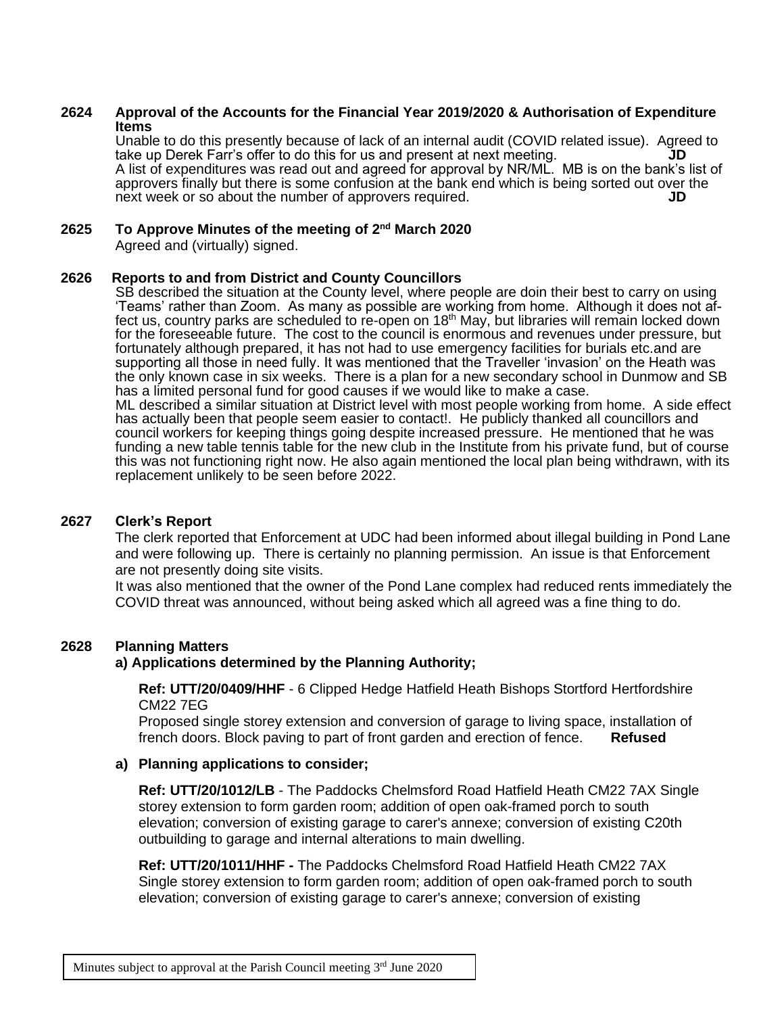#### **2624 Approval of the Accounts for the Financial Year 2019/2020 & Authorisation of Expenditure Items**

Unable to do this presently because of lack of an internal audit (COVID related issue). Agreed to take up Derek Farr's offer to do this for us and present at next meeting. **JD** A list of expenditures was read out and agreed for approval by NR/ML. MB is on the bank's list of approvers finally but there is some confusion at the bank end which is being sorted out over the next week or so about the number of approvers required.

#### **2625 To Approve Minutes of the meeting of 2 nd March 2020**

Agreed and (virtually) signed.

#### **2626 Reports to and from District and County Councillors**

SB described the situation at the County level, where people are doin their best to carry on using 'Teams' rather than Zoom. As many as possible are working from home. Although it does not affect us, country parks are scheduled to re-open on 18th May, but libraries will remain locked down for the foreseeable future. The cost to the council is enormous and revenues under pressure, but fortunately although prepared, it has not had to use emergency facilities for burials etc.and are supporting all those in need fully. It was mentioned that the Traveller 'invasion' on the Heath was the only known case in six weeks. There is a plan for a new secondary school in Dunmow and SB has a limited personal fund for good causes if we would like to make a case. ML described a similar situation at District level with most people working from home. A side effect has actually been that people seem easier to contact!. He publicly thanked all councillors and council workers for keeping things going despite increased pressure. He mentioned that he was funding a new table tennis table for the new club in the Institute from his private fund, but of course this was not functioning right now. He also again mentioned the local plan being withdrawn, with its replacement unlikely to be seen before 2022.

#### **2627 Clerk's Report**

The clerk reported that Enforcement at UDC had been informed about illegal building in Pond Lane and were following up. There is certainly no planning permission. An issue is that Enforcement are not presently doing site visits.

It was also mentioned that the owner of the Pond Lane complex had reduced rents immediately the COVID threat was announced, without being asked which all agreed was a fine thing to do.

# **2628 Planning Matters**

# **a) Applications determined by the Planning Authority;**

**Ref: UTT/20/0409/HHF** - 6 Clipped Hedge Hatfield Heath Bishops Stortford Hertfordshire CM22 7EG

Proposed single storey extension and conversion of garage to living space, installation of french doors. Block paving to part of front garden and erection of fence. **Refused**

#### **a) Planning applications to consider;**

**Ref: UTT/20/1012/LB** - The Paddocks Chelmsford Road Hatfield Heath CM22 7AX Single storey extension to form garden room; addition of open oak-framed porch to south elevation; conversion of existing garage to carer's annexe; conversion of existing C20th outbuilding to garage and internal alterations to main dwelling.

**Ref: UTT/20/1011/HHF -** The Paddocks Chelmsford Road Hatfield Heath CM22 7AX Single storey extension to form garden room; addition of open oak-framed porch to south elevation; conversion of existing garage to carer's annexe; conversion of existing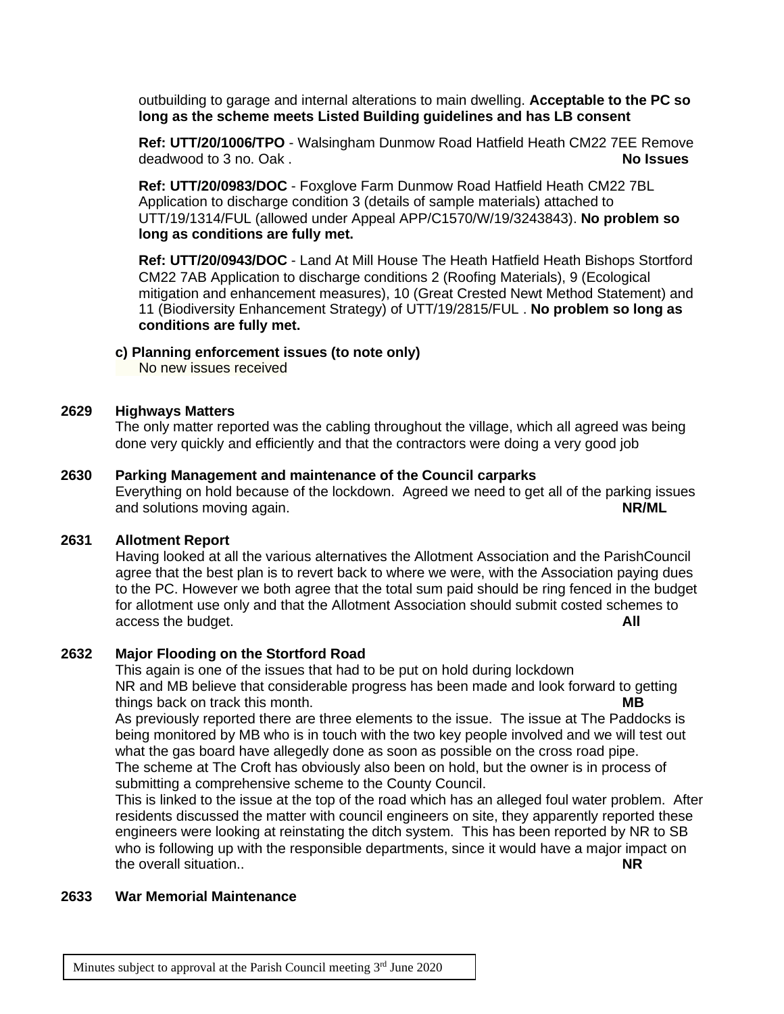outbuilding to garage and internal alterations to main dwelling. **Acceptable to the PC so long as the scheme meets Listed Building guidelines and has LB consent**

**Ref: UTT/20/1006/TPO** - Walsingham Dunmow Road Hatfield Heath CM22 7EE Remove deadwood to 3 no. Oak . **No Issues**

**Ref: UTT/20/0983/DOC** - Foxglove Farm Dunmow Road Hatfield Heath CM22 7BL Application to discharge condition 3 (details of sample materials) attached to UTT/19/1314/FUL (allowed under Appeal APP/C1570/W/19/3243843). **No problem so long as conditions are fully met.**

**Ref: UTT/20/0943/DOC** - Land At Mill House The Heath Hatfield Heath Bishops Stortford CM22 7AB Application to discharge conditions 2 (Roofing Materials), 9 (Ecological mitigation and enhancement measures), 10 (Great Crested Newt Method Statement) and 11 (Biodiversity Enhancement Strategy) of UTT/19/2815/FUL . **No problem so long as conditions are fully met.**

#### **c) Planning enforcement issues (to note only)**

No new issues received

#### **2629 Highways Matters**

The only matter reported was the cabling throughout the village, which all agreed was being done very quickly and efficiently and that the contractors were doing a very good job

#### **2630 Parking Management and maintenance of the Council carparks**

Everything on hold because of the lockdown. Agreed we need to get all of the parking issues and solutions moving again. **NR/ML**

#### **2631 Allotment Report**

Having looked at all the various alternatives the Allotment Association and the ParishCouncil agree that the best plan is to revert back to where we were, with the Association paying dues to the PC. However we both agree that the total sum paid should be ring fenced in the budget for allotment use only and that the Allotment Association should submit costed schemes to access the budget. **All**

#### **2632 Major Flooding on the Stortford Road**

This again is one of the issues that had to be put on hold during lockdown NR and MB believe that considerable progress has been made and look forward to getting things back on track this month. **MB**

As previously reported there are three elements to the issue. The issue at The Paddocks is being monitored by MB who is in touch with the two key people involved and we will test out what the gas board have allegedly done as soon as possible on the cross road pipe. The scheme at The Croft has obviously also been on hold, but the owner is in process of submitting a comprehensive scheme to the County Council.

This is linked to the issue at the top of the road which has an alleged foul water problem. After residents discussed the matter with council engineers on site, they apparently reported these engineers were looking at reinstating the ditch system. This has been reported by NR to SB who is following up with the responsible departments, since it would have a major impact on the overall situation.. **NR**

#### **2633 War Memorial Maintenance**